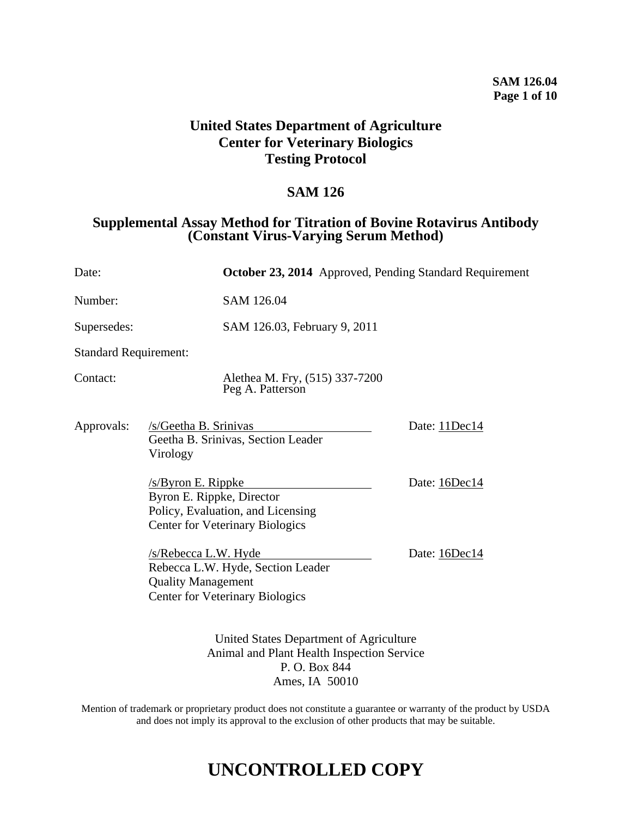#### **SAM 126.04 Page 1 of 10**

## **United States Department of Agriculture Center for Veterinary Biologics Testing Protocol**

#### **SAM 126**

## **Supplemental Assay Method for Titration of Bovine Rotavirus Antibody (Constant Virus-Varying Serum Method)**

| Date:                        |                                                                                                                                  | October 23, 2014 Approved, Pending Standard Requirement |  |
|------------------------------|----------------------------------------------------------------------------------------------------------------------------------|---------------------------------------------------------|--|
| Number:                      | SAM 126.04                                                                                                                       |                                                         |  |
| Supersedes:                  | SAM 126.03, February 9, 2011                                                                                                     |                                                         |  |
| <b>Standard Requirement:</b> |                                                                                                                                  |                                                         |  |
| Contact:                     | Alethea M. Fry, (515) 337-7200<br>Peg A. Patterson                                                                               |                                                         |  |
| Approvals:                   | /s/Geetha B. Srinivas<br>Geetha B. Srinivas, Section Leader<br>Virology                                                          | Date: 11Dec14                                           |  |
|                              | /s/Byron E. Rippke<br>Byron E. Rippke, Director<br>Policy, Evaluation, and Licensing<br><b>Center for Veterinary Biologics</b>   | Date: 16Dec14                                           |  |
|                              | /s/Rebecca L.W. Hyde<br>Rebecca L.W. Hyde, Section Leader<br><b>Quality Management</b><br><b>Center for Veterinary Biologics</b> | Date: 16Dec14                                           |  |
|                              | United States Department of Agriculture<br>Animal and Plant Health Inspection Service<br>P.O. Box 844                            |                                                         |  |

Mention of trademark or proprietary product does not constitute a guarantee or warranty of the product by USDA and does not imply its approval to the exclusion of other products that may be suitable.

Ames, IA 50010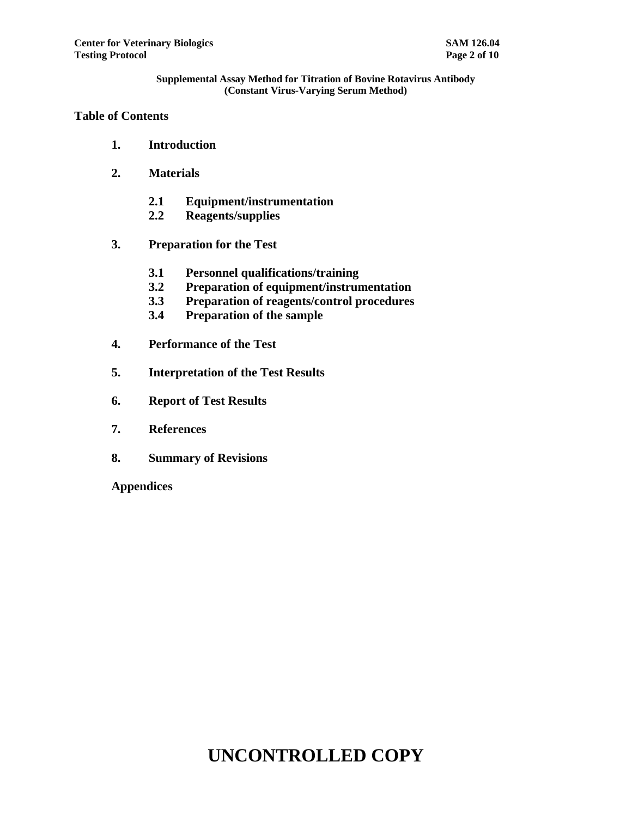#### **Table of Contents**

- **1. Introduction**
- **2. Materials**
	- **2.1 Equipment/instrumentation**
	- **2.2 Reagents/supplies**
- **3. Preparation for the Test**
	- **3.1 Personnel qualifications/training**
	- **3.2 Preparation of equipment/instrumentation**
	- **3.3 Preparation of reagents/control procedures**
	- **3.4 Preparation of the sample**
- **4. Performance of the Test**
- **5. Interpretation of the Test Results**
- **6. Report of Test Results**
- **7. References**
- **8. Summary of Revisions**

**Appendices**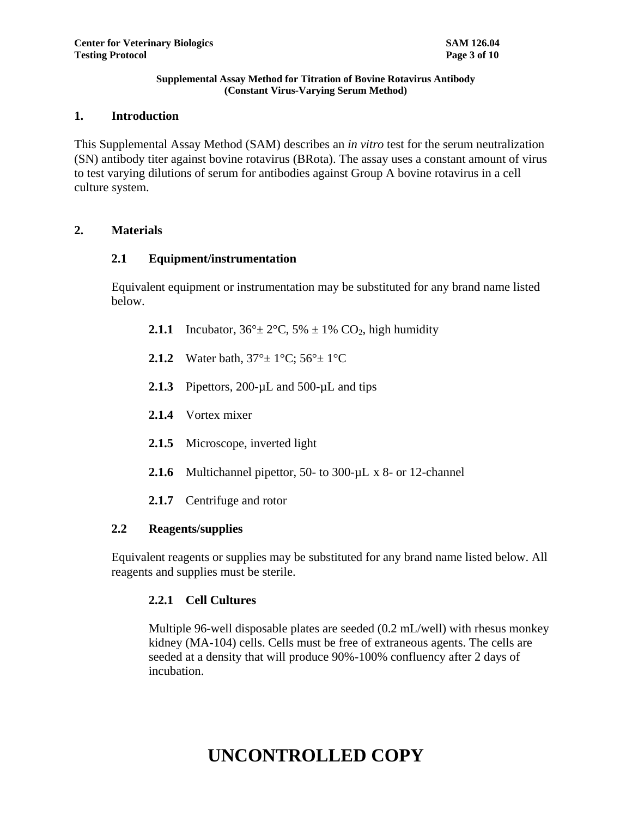#### **1. Introduction**

This Supplemental Assay Method (SAM) describes an *in vitro* test for the serum neutralization (SN) antibody titer against bovine rotavirus (BRota). The assay uses a constant amount of virus to test varying dilutions of serum for antibodies against Group A bovine rotavirus in a cell culture system.

#### **2. Materials**

#### **2.1 Equipment/instrumentation**

Equivalent equipment or instrumentation may be substituted for any brand name listed below.

- **2.1.1** Incubator,  $36^{\circ} \pm 2^{\circ}$ C,  $5\% \pm 1\%$  CO<sub>2</sub>, high humidity
- **2.1.2** Water bath,  $37^{\circ} \pm 1^{\circ}$ C;  $56^{\circ} \pm 1^{\circ}$ C
- 2.1.3 Pipettors, 200-µL and 500-µL and tips
- **2.1.4** Vortex mixer
- **2.1.5** Microscope, inverted light
- 2.1.6 Multichannel pipettor, 50- to 300-µL x 8- or 12-channel
- **2.1.7** Centrifuge and rotor

#### **2.2 Reagents/supplies**

Equivalent reagents or supplies may be substituted for any brand name listed below. All reagents and supplies must be sterile.

### **2.2.1 Cell Cultures**

Multiple 96-well disposable plates are seeded (0.2 mL/well) with rhesus monkey kidney (MA-104) cells. Cells must be free of extraneous agents. The cells are seeded at a density that will produce 90%-100% confluency after 2 days of incubation.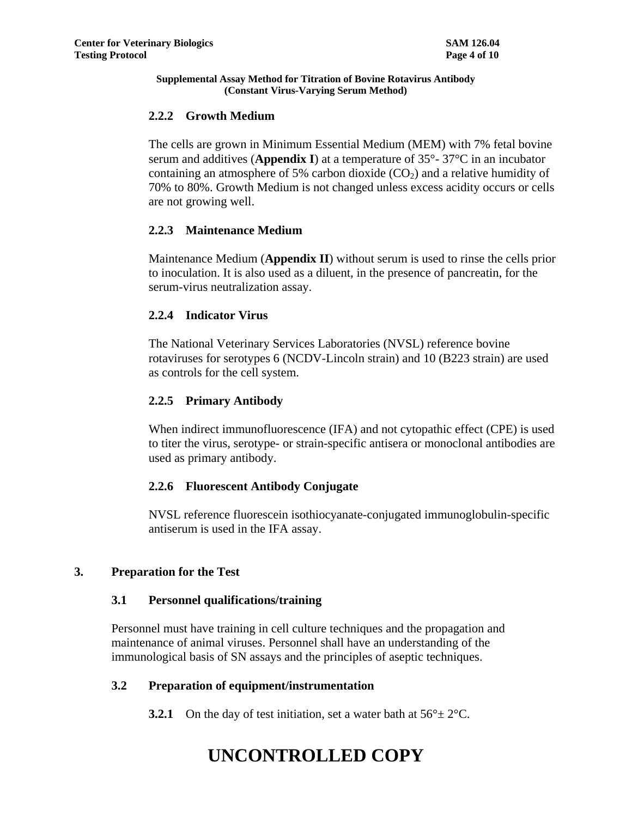## **2.2.2 Growth Medium**

The cells are grown in Minimum Essential Medium (MEM) with 7% fetal bovine serum and additives (**Appendix I**) at a temperature of 35°- 37°C in an incubator containing an atmosphere of 5% carbon dioxide  $(CO<sub>2</sub>)$  and a relative humidity of 70% to 80%. Growth Medium is not changed unless excess acidity occurs or cells are not growing well.

## **2.2.3 Maintenance Medium**

Maintenance Medium (**Appendix II**) without serum is used to rinse the cells prior to inoculation. It is also used as a diluent, in the presence of pancreatin, for the serum-virus neutralization assay.

## **2.2.4 Indicator Virus**

The National Veterinary Services Laboratories (NVSL) reference bovine rotaviruses for serotypes 6 (NCDV-Lincoln strain) and 10 (B223 strain) are used as controls for the cell system.

## **2.2.5 Primary Antibody**

When indirect immunofluorescence (IFA) and not cytopathic effect (CPE) is used to titer the virus, serotype- or strain-specific antisera or monoclonal antibodies are used as primary antibody.

### **2.2.6 Fluorescent Antibody Conjugate**

NVSL reference fluorescein isothiocyanate-conjugated immunoglobulin-specific antiserum is used in the IFA assay.

### **3. Preparation for the Test**

### **3.1 Personnel qualifications/training**

Personnel must have training in cell culture techniques and the propagation and maintenance of animal viruses. Personnel shall have an understanding of the immunological basis of SN assays and the principles of aseptic techniques.

### **3.2 Preparation of equipment/instrumentation**

**3.2.1** On the day of test initiation, set a water bath at  $56^{\circ} \pm 2^{\circ}$ C.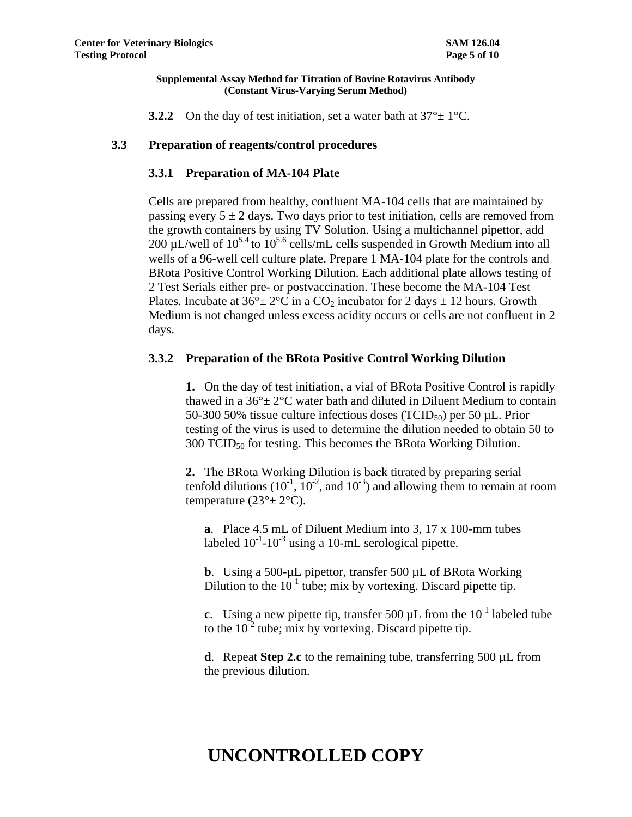**3.2.2** On the day of test initiation, set a water bath at  $37^\circ \pm 1^\circ \text{C}$ .

#### **3.3 Preparation of reagents/control procedures**

#### **3.3.1 Preparation of MA-104 Plate**

Cells are prepared from healthy, confluent MA-104 cells that are maintained by passing every  $5 \pm 2$  days. Two days prior to test initiation, cells are removed from the growth containers by using TV Solution. Using a multichannel pipettor, add  $200 \mu L$ /well of  $10^{5.4}$  to  $10^{5.6}$  cells/mL cells suspended in Growth Medium into all wells of a 96-well cell culture plate. Prepare 1 MA-104 plate for the controls and BRota Positive Control Working Dilution. Each additional plate allows testing of 2 Test Serials either pre- or postvaccination. These become the MA-104 Test Plates. Incubate at  $36^{\circ} \pm 2^{\circ}$ C in a CO<sub>2</sub> incubator for 2 days  $\pm$  12 hours. Growth Medium is not changed unless excess acidity occurs or cells are not confluent in 2 days.

#### **3.3.2 Preparation of the BRota Positive Control Working Dilution**

**1.** On the day of test initiation, a vial of BRota Positive Control is rapidly thawed in a  $36^{\circ}$  ±  $2^{\circ}$ C water bath and diluted in Diluent Medium to contain 50-300 50% tissue culture infectious doses (TCID $_{50}$ ) per 50 µL. Prior testing of the virus is used to determine the dilution needed to obtain 50 to  $300$  TCID<sub>50</sub> for testing. This becomes the BRota Working Dilution.

**2.** The BRota Working Dilution is back titrated by preparing serial tenfold dilutions  $(10^{-1}, 10^{-2},$  and  $10^{-3})$  and allowing them to remain at room temperature  $(23^\circ \pm 2^\circ \text{C})$ .

**a**. Place 4.5 mL of Diluent Medium into 3, 17 x 100-mm tubes labeled  $10^{-1}$ - $10^{-3}$  using a 10-mL serological pipette.

**b**. Using a 500-µL pipettor, transfer 500 µL of BRota Working Dilution to the  $10^{-1}$  tube; mix by vortexing. Discard pipette tip.

**c**. Using a new pipette tip, transfer 500  $\mu$ L from the 10<sup>-1</sup> labeled tube to the  $10^{-2}$  tube; mix by vortexing. Discard pipette tip.

**d**. Repeat **Step 2.c** to the remaining tube, transferring 500 µL from the previous dilution.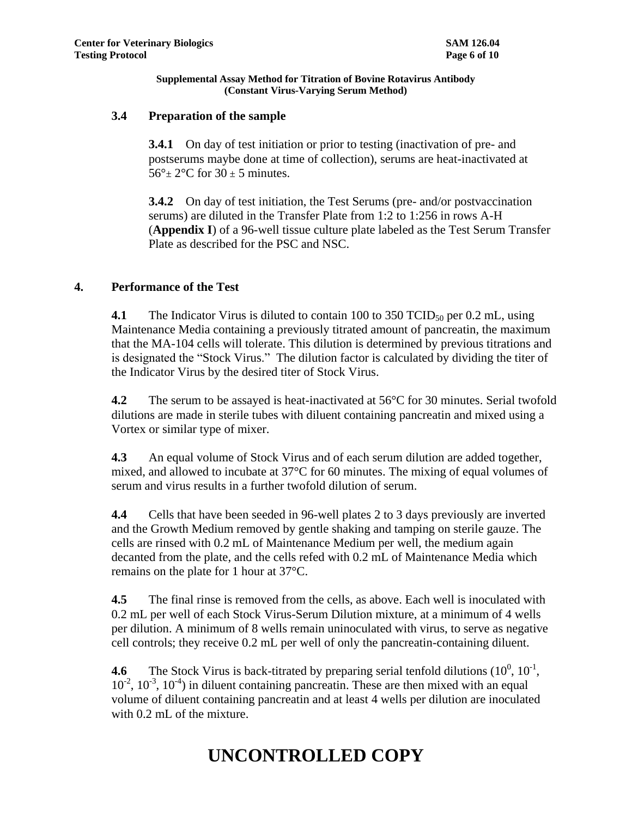#### **3.4 Preparation of the sample**

**3.4.1** On day of test initiation or prior to testing (inactivation of pre- and postserums maybe done at time of collection), serums are heat-inactivated at  $56^\circ \pm 2^\circ \text{C}$  for  $30 \pm 5$  minutes.

**3.4.2** On day of test initiation, the Test Serums (pre- and/or postvaccination serums) are diluted in the Transfer Plate from 1:2 to 1:256 in rows A-H (**Appendix I**) of a 96-well tissue culture plate labeled as the Test Serum Transfer Plate as described for the PSC and NSC.

### **4. Performance of the Test**

**4.1** The Indicator Virus is diluted to contain 100 to 350 TCID<sub>50</sub> per 0.2 mL, using Maintenance Media containing a previously titrated amount of pancreatin, the maximum that the MA-104 cells will tolerate. This dilution is determined by previous titrations and is designated the "Stock Virus." The dilution factor is calculated by dividing the titer of the Indicator Virus by the desired titer of Stock Virus.

**4.2** The serum to be assayed is heat-inactivated at 56<sup>o</sup>C for 30 minutes. Serial twofold dilutions are made in sterile tubes with diluent containing pancreatin and mixed using a Vortex or similar type of mixer.

**4.3** An equal volume of Stock Virus and of each serum dilution are added together, mixed, and allowed to incubate at 37°C for 60 minutes. The mixing of equal volumes of serum and virus results in a further twofold dilution of serum.

**4.4** Cells that have been seeded in 96-well plates 2 to 3 days previously are inverted and the Growth Medium removed by gentle shaking and tamping on sterile gauze. The cells are rinsed with 0.2 mL of Maintenance Medium per well, the medium again decanted from the plate, and the cells refed with 0.2 mL of Maintenance Media which remains on the plate for 1 hour at 37°C.

**4.5** The final rinse is removed from the cells, as above. Each well is inoculated with 0.2 mL per well of each Stock Virus-Serum Dilution mixture, at a minimum of 4 wells per dilution. A minimum of 8 wells remain uninoculated with virus, to serve as negative cell controls; they receive 0.2 mL per well of only the pancreatin-containing diluent.

**4.6** The Stock Virus is back-titrated by preparing serial tenfold dilutions  $(10^0, 10^{-1},$  $10^{-2}$ ,  $10^{-3}$ ,  $10^{-4}$ ) in diluent containing pancreatin. These are then mixed with an equal volume of diluent containing pancreatin and at least 4 wells per dilution are inoculated with 0.2 mL of the mixture.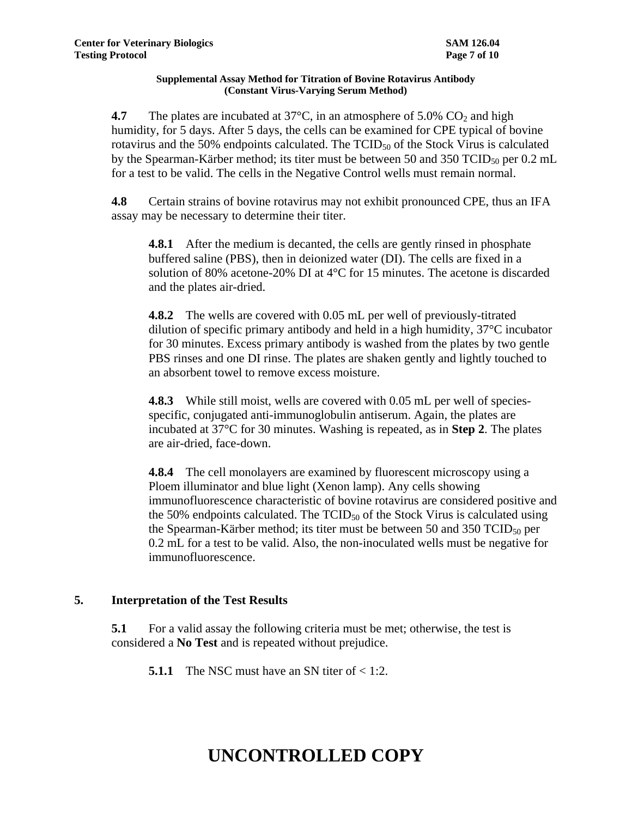**4.7** The plates are incubated at  $37^{\circ}$ C, in an atmosphere of  $5.0\%$  CO<sub>2</sub> and high humidity, for 5 days. After 5 days, the cells can be examined for CPE typical of bovine rotavirus and the 50% endpoints calculated. The  $TCID_{50}$  of the Stock Virus is calculated by the Spearman-Kärber method; its titer must be between 50 and 350 TCID<sub>50</sub> per 0.2 mL for a test to be valid. The cells in the Negative Control wells must remain normal.

**4.8** Certain strains of bovine rotavirus may not exhibit pronounced CPE, thus an IFA assay may be necessary to determine their titer.

**4.8.1** After the medium is decanted, the cells are gently rinsed in phosphate buffered saline (PBS), then in deionized water (DI). The cells are fixed in a solution of 80% acetone-20% DI at 4°C for 15 minutes. The acetone is discarded and the plates air-dried.

**4.8.2** The wells are covered with 0.05 mL per well of previously-titrated dilution of specific primary antibody and held in a high humidity, 37°C incubator for 30 minutes. Excess primary antibody is washed from the plates by two gentle PBS rinses and one DI rinse. The plates are shaken gently and lightly touched to an absorbent towel to remove excess moisture.

**4.8.3** While still moist, wells are covered with 0.05 mL per well of speciesspecific, conjugated anti-immunoglobulin antiserum. Again, the plates are incubated at 37°C for 30 minutes. Washing is repeated, as in **Step 2**. The plates are air-dried, face-down.

**4.8.4** The cell monolayers are examined by fluorescent microscopy using a Ploem illuminator and blue light (Xenon lamp). Any cells showing immunofluorescence characteristic of bovine rotavirus are considered positive and the 50% endpoints calculated. The  $TCID_{50}$  of the Stock Virus is calculated using the Spearman-Kärber method; its titer must be between 50 and 350  $TCID_{50}$  per 0.2 mL for a test to be valid. Also, the non-inoculated wells must be negative for immunofluorescence.

## **5. Interpretation of the Test Results**

**5.1** For a valid assay the following criteria must be met; otherwise, the test is considered a **No Test** and is repeated without prejudice.

**5.1.1** The NSC must have an SN titer of  $\lt 1:2$ .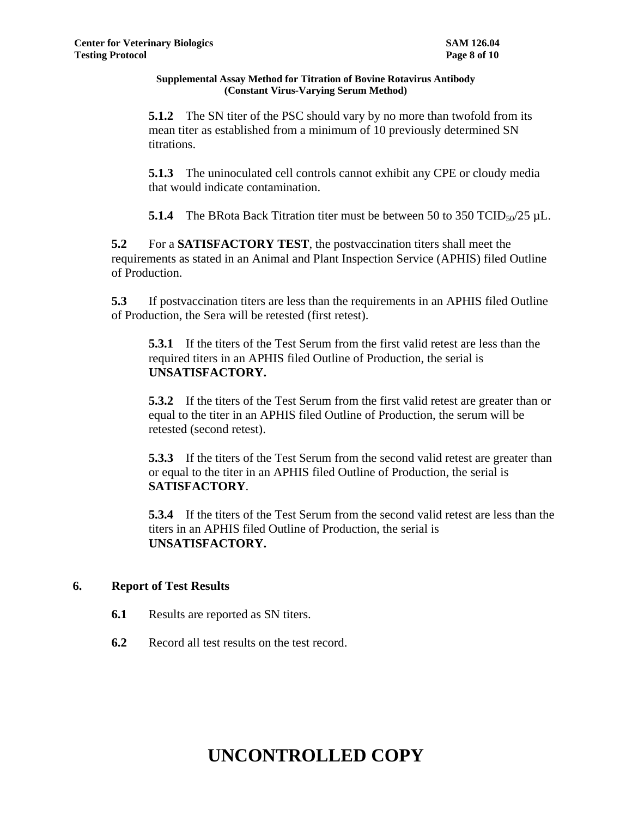**5.1.2** The SN titer of the PSC should vary by no more than twofold from its mean titer as established from a minimum of 10 previously determined SN titrations.

**5.1.3** The uninoculated cell controls cannot exhibit any CPE or cloudy media that would indicate contamination.

**5.1.4** The BRota Back Titration titer must be between 50 to 350 TCID<sub>50</sub>/25  $\mu$ L.

**5.2** For a **SATISFACTORY TEST**, the postvaccination titers shall meet the requirements as stated in an Animal and Plant Inspection Service (APHIS) filed Outline of Production.

**5.3** If postvaccination titers are less than the requirements in an APHIS filed Outline of Production, the Sera will be retested (first retest).

**5.3.1** If the titers of the Test Serum from the first valid retest are less than the required titers in an APHIS filed Outline of Production, the serial is **UNSATISFACTORY.**

**5.3.2** If the titers of the Test Serum from the first valid retest are greater than or equal to the titer in an APHIS filed Outline of Production, the serum will be retested (second retest).

**5.3.3** If the titers of the Test Serum from the second valid retest are greater than or equal to the titer in an APHIS filed Outline of Production, the serial is **SATISFACTORY**.

**5.3.4** If the titers of the Test Serum from the second valid retest are less than the titers in an APHIS filed Outline of Production, the serial is **UNSATISFACTORY.**

### **6. Report of Test Results**

- **6.1** Results are reported as SN titers.
- **6.2** Record all test results on the test record.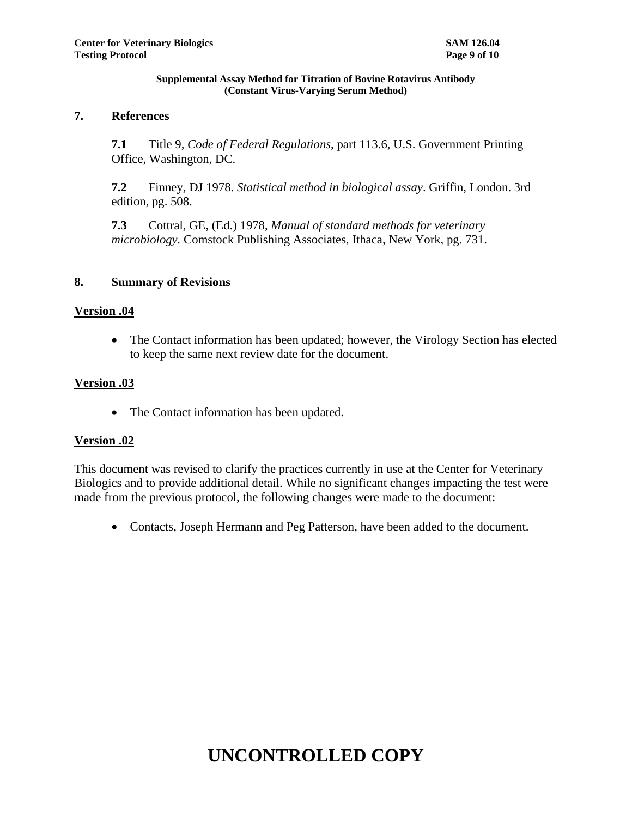#### **7. References**

**7.1** Title 9, *Code of Federal Regulations*, part 113.6, U.S. Government Printing Office, Washington, DC.

**7.2** Finney, DJ 1978. *Statistical method in biological assay*. Griffin, London. 3rd edition, pg. 508.

**7.3** Cottral, GE, (Ed.) 1978, *Manual of standard methods for veterinary microbiology.* Comstock Publishing Associates, Ithaca, New York, pg. 731.

#### **8. Summary of Revisions**

#### **Version .04**

• The Contact information has been updated; however, the Virology Section has elected to keep the same next review date for the document.

#### **Version .03**

• The Contact information has been updated.

#### **Version .02**

This document was revised to clarify the practices currently in use at the Center for Veterinary Biologics and to provide additional detail. While no significant changes impacting the test were made from the previous protocol, the following changes were made to the document:

• Contacts, Joseph Hermann and Peg Patterson, have been added to the document.